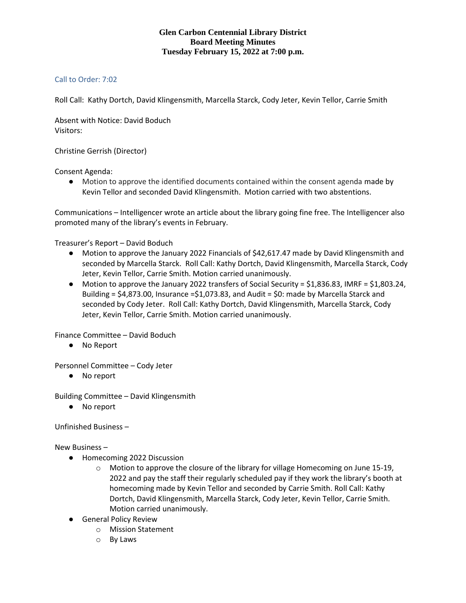## **Glen Carbon Centennial Library District Board Meeting Minutes Tuesday February 15, 2022 at 7:00 p.m.**

## Call to Order: 7:02

Roll Call: Kathy Dortch, David Klingensmith, Marcella Starck, Cody Jeter, Kevin Tellor, Carrie Smith

Absent with Notice: David Boduch Visitors:

Christine Gerrish (Director)

Consent Agenda:

● Motion to approve the identified documents contained within the consent agenda made by Kevin Tellor and seconded David Klingensmith. Motion carried with two abstentions.

Communications – Intelligencer wrote an article about the library going fine free. The Intelligencer also promoted many of the library's events in February.

Treasurer's Report – David Boduch

- Motion to approve the January 2022 Financials of \$42,617.47 made by David Klingensmith and seconded by Marcella Starck. Roll Call: Kathy Dortch, David Klingensmith, Marcella Starck, Cody Jeter, Kevin Tellor, Carrie Smith. Motion carried unanimously.
- Motion to approve the January 2022 transfers of Social Security = \$1,836.83, IMRF = \$1,803.24, Building =  $$4,873.00$ , Insurance = $$1,073.83$ , and Audit =  $$0:$  made by Marcella Starck and seconded by Cody Jeter. Roll Call: Kathy Dortch, David Klingensmith, Marcella Starck, Cody Jeter, Kevin Tellor, Carrie Smith. Motion carried unanimously.

Finance Committee – David Boduch

● No Report

Personnel Committee – Cody Jeter

● No report

Building Committee – David Klingensmith

● No report

Unfinished Business –

New Business –

- Homecoming 2022 Discussion
	- $\circ$  Motion to approve the closure of the library for village Homecoming on June 15-19, 2022 and pay the staff their regularly scheduled pay if they work the library's booth at homecoming made by Kevin Tellor and seconded by Carrie Smith. Roll Call: Kathy Dortch, David Klingensmith, Marcella Starck, Cody Jeter, Kevin Tellor, Carrie Smith. Motion carried unanimously.
- General Policy Review
	- o Mission Statement
	- o By Laws